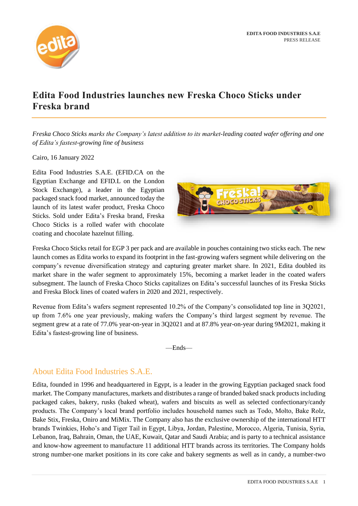

# **Edita Food Industries launches new Freska Choco Sticks under Freska brand**

*Freska Choco Sticks marks the Company's latest addition to its market-leading coated wafer offering and one of Edita's fastest-growing line of business*

#### Cairo, 16 January 2022

Edita Food Industries S.A.E. (EFID.CA on the Egyptian Exchange and EFID.L on the London Stock Exchange), a leader in the Egyptian packaged snack food market, announced today the launch of its latest wafer product, Freska Choco Sticks. Sold under Edita's Freska brand, Freska Choco Sticks is a rolled wafer with chocolate coating and chocolate hazelnut filling.



Freska Choco Sticks retail for EGP 3 per pack and are available in pouches containing two sticks each. The new launch comes as Edita works to expand its footprint in the fast-growing wafers segment while delivering on the company's revenue diversification strategy and capturing greater market share. In 2021, Edita doubled its market share in the wafer segment to approximately 15%, becoming a market leader in the coated wafers subsegment. The launch of Freska Choco Sticks capitalizes on Edita's successful launches of its Freska Sticks and Freska Block lines of coated wafers in 2020 and 2021, respectively.

Revenue from Edita's wafers segment represented 10.2% of the Company's consolidated top line in 3Q2021, up from 7.6% one year previously, making wafers the Company's third largest segment by revenue. The segment grew at a rate of 77.0% year-on-year in 3Q2021 and at 87.8% year-on-year during 9M2021, making it Edita's fastest-growing line of business.

—Ends—

## About Edita Food Industries S.A.E.

Edita, founded in 1996 and headquartered in Egypt, is a leader in the growing Egyptian packaged snack food market. The Company manufactures, markets and distributes a range of branded baked snack products including packaged cakes, bakery, rusks (baked wheat), wafers and biscuits as well as selected confectionary/candy products. The Company's local brand portfolio includes household names such as Todo, Molto, Bake Rolz, Bake Stix, Freska, Oniro and MiMix. The Company also has the exclusive ownership of the international HTT brands Twinkies, Hoho's and Tiger Tail in Egypt, Libya, Jordan, Palestine, Morocco, Algeria, Tunisia, Syria, Lebanon, Iraq, Bahrain, Oman, the UAE, Kuwait, Qatar and Saudi Arabia; and is party to a technical assistance and know-how agreement to manufacture 11 additional HTT brands across its territories. The Company holds strong number-one market positions in its core cake and bakery segments as well as in candy, a number-two